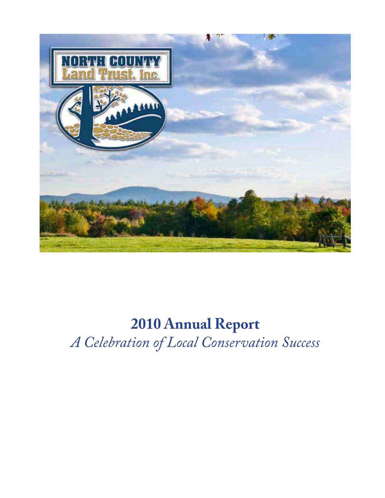

# **2010 Annual Report** *A Celebration of Local Conservation Success*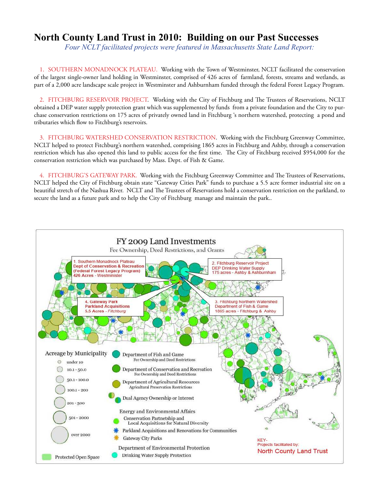#### **North County Land Trust in 2010: Building on our Past Successes**

*Four NCLT facilitated projects were featured in Massachusetts State Land Report:*

1. SOUTHERN MONADNOCK PLATEAU. Working with the Town of Westminster, NCLT facilitated the conservation of the largest single-owner land holding in Westminster, comprised of 426 acres of farmland, forests, streams and wetlands, as part of a 2,000 acre landscape scale project in Westminster and Ashburnham funded through the federal Forest Legacy Program.

2. FITCHBURG RESERVOIR PROJECT. Working with the City of Fitchburg and The Trustees of Reservations, NCLT obtained a DEP water supply protection grant which was supplemented by funds from a private foundation and the City to purchase conservation restrictions on 175 acres of privately owned land in Fitchburg 's northern watershed, protecting a pond and tributaries which flow to Fitchburg's reservoirs.

3. FITCHBURG WATERSHED CONSERVATION RESTRICTION. Working with the Fitchburg Greenway Committee, NCLT helped to protect Fitchburg's northern watershed, comprising 1865 acres in Fitchburg and Ashby, through a conservation restriction which has also opened this land to public access for the first time. The City of Fitchburg received \$954,000 for the conservation restriction which was purchased by Mass. Dept. of Fish & Game.

4. FITCHBURG'S GATEWAY PARK. Working with the Fitchburg Greenway Committee and The Trustees of Reservations, NCLT helped the City of Fitchburg obtain state "Gateway Cities Park" funds to purchase a 5.5 acre former industrial site on a beautiful stretch of the Nashua River. NCLT and The Trustees of Reservations hold a conservation restriction on the parkland, to secure the land as a future park and to help the City of Fitchburg manage and maintain the park..

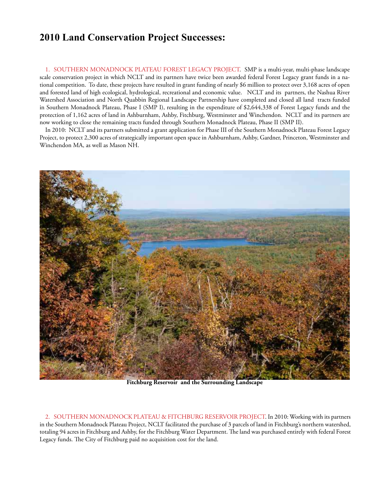### **2010 Land Conservation Project Successes:**

1. SOUTHERN MONADNOCK PLATEAU FOREST LEGACY PROJECT. SMP is a multi-year, multi-phase landscape scale conservation project in which NCLT and its partners have twice been awarded federal Forest Legacy grant funds in a national competition. To date, these projects have resulted in grant funding of nearly \$6 million to protect over 3,168 acres of open and forested land of high ecological, hydrological, recreational and economic value. NCLT and its partners, the Nashua River Watershed Association and North Quabbin Regional Landscape Partnership have completed and closed all land tracts funded in Southern Monadnock Plateau, Phase I (SMP I), resulting in the expenditure of \$2,644,338 of Forest Legacy funds and the protection of 1,162 acres of land in Ashburnham, Ashby, Fitchburg, Westminster and Winchendon. NCLT and its partners are now working to close the remaining tracts funded through Southern Monadnock Plateau, Phase II (SMP II).

In 2010: NCLT and its partners submitted a grant application for Phase III of the Southern Monadnock Plateau Forest Legacy Project, to protect 2,300 acres of strategically important open space in Ashburnham, Ashby, Gardner, Princeton, Westminster and Winchendon MA, as well as Mason NH.



**Fitchburg Reservoir and the Surrounding Landscape**

2. SOUTHERN MONADNOCK PLATEAU & FITCHBURG RESERVOIR PROJECT. In 2010: Working with its partners in the Southern Monadnock Plateau Project, NCLT facilitated the purchase of 3 parcels of land in Fitchburg's northern watershed, totaling 94 acres in Fitchburg and Ashby, for the Fitchburg Water Department. The land was purchased entirely with federal Forest Legacy funds. The City of Fitchburg paid no acquisition cost for the land.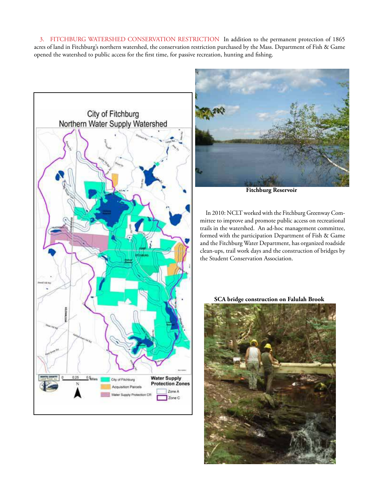3. FITCHBURG WATERSHED CONSERVATION RESTRICTION In addition to the permanent protection of 1865 acres of land in Fitchburg's northern watershed, the conservation restriction purchased by the Mass. Department of Fish & Game opened the watershed to public access for the first time, for passive recreation, hunting and fishing.





**Fitchburg Reservoir**

In 2010: NCLT worked with the Fitchburg Greenway Committee to improve and promote public access on recreational trails in the watershed. An ad-hoc management committee, formed with the participation Department of Fish & Game and the Fitchburg Water Department, has organized roadside clean-ups, trail work days and the construction of bridges by the Student Conservation Association.

**SCA bridge construction on Falulah Brook**

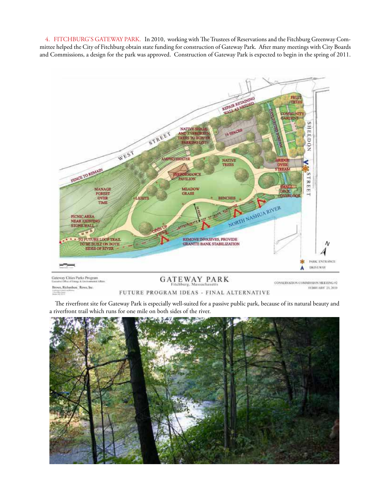4. FITCHBURG'S GATEWAY PARK. In 2010, working with The Trustees of Reservations and the Fitchburg Greenway Committee helped the City of Fitchburg obtain state funding for construction of Gateway Park. After many meetings with City Boards and Commissions, a design for the park was approved. Construction of Gateway Park is expected to begin in the spring of 2011.



#### GATEWAY PARK Brown, Richardson, Rown, Inc. FUTURE PROGRAM IDEAS - FINAL ALTERNATIVE

CONSERVATION COMMISSION MEETING #2 EEBRELARY 23, 2010

The riverfront site for Gateway Park is especially well-suited for a passive public park, because of its natural beauty and a riverfront trail which runs for one mile on both sides of the river.

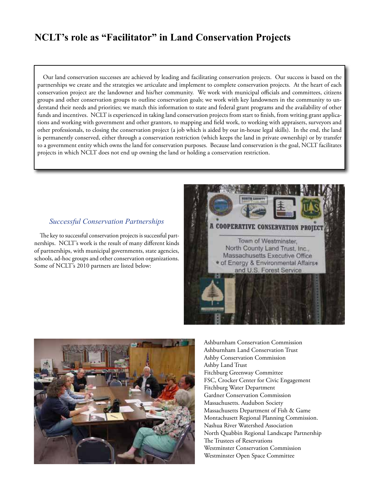## **NCLT's role as "Facilitator" in Land Conservation Projects**

Our land conservation successes are achieved by leading and facilitating conservation projects. Our success is based on the partnerships we create and the strategies we articulate and implement to complete conservation projects. At the heart of each conservation project are the landowner and his/her community. We work with municipal officials and committees, citizens groups and other conservation groups to outline conservation goals; we work with key landowners in the community to understand their needs and priorities; we match this information to state and federal grant programs and the availability of other funds and incentives. NCLT is experienced in taking land conservation projects from start to finish, from writing grant applications and working with government and other grantors, to mapping and field work, to working with appraisers, surveyors and other professionals, to closing the conservation project (a job which is aided by our in-house legal skills). In the end, the land is permanently conserved, either through a conservation restriction (which keeps the land in private ownership) or by transfer to a government entity which owns the land for conservation purposes. Because land conservation is the goal, NCLT facilitates projects in which NCLT does not end up owning the land or holding a conservation restriction.

#### *Successful Conservation Partnerships*

The key to successful conservation projects is successful partnerships. NCLT's work is the result of many different kinds of partnerships, with municipal governments, state agencies, schools, ad-hoc groups and other conservation organizations. Some of NCLT's 2010 partners are listed below:





Ashburnham Conservation Commission Ashburnham Land Conservation Trust Ashby Conservation Commission Ashby Land Trust Fitchburg Greenway Committee FSC, Crocker Center for Civic Engagement Fitchburg Water Department Gardner Conservation Commission Massachusetts. Audubon Society Massachusetts Department of Fish & Game Montachusett Regional Planning Commission. Nashua River Watershed Association North Quabbin Regional Landscape Partnership The Trustees of Reservations Westminster Conservation Commission Westminster Open Space Committee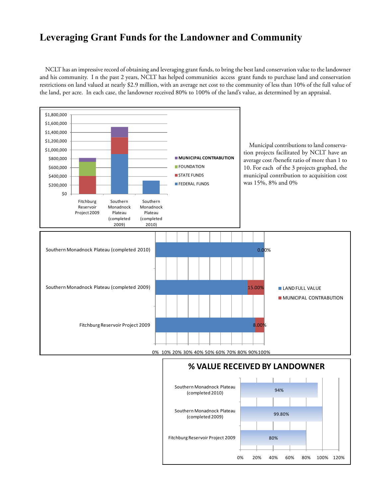#### **Leveraging Grant Funds for the Landowner and Community**

NCLT has an impressive record of obtaining and leveraging grant funds, to bring the best land conservation value to the landowner and his community. I n the past 2 years, NCLT has helped communities access grant funds to purchase land and conservation restrictions on land valued at nearly \$2.9 million, with an average net cost to the community of less than 10% of the full value of the land, per acre. In each case, the landowner received 80% to 100% of the land's value, as determined by an appraisal.



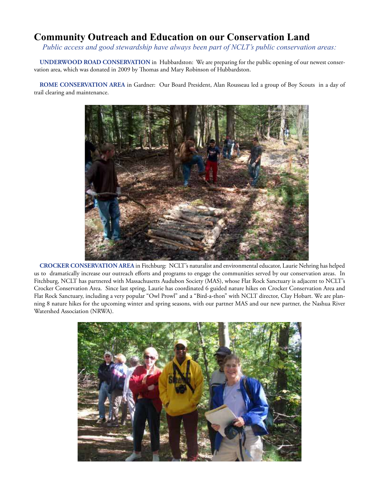### **Community Outreach and Education on our Conservation Land**

*Public access and good stewardship have always been part of NCLT's public conservation areas:*

**UNDERWOOD ROAD CONSERVATION** in Hubbardston: We are preparing for the public opening of our newest conservation area, which was donated in 2009 by Thomas and Mary Robinson of Hubbardston.

**ROME CONSERVATION AREA** in Gardner: Our Board President, Alan Rousseau led a group of Boy Scouts in a day of trail clearing and maintenance.



**CROCKER CONSERVATION AREA** in Fitchburg: NCLT's naturalist and environmental educator, Laurie Nehring has helped us to dramatically increase our outreach efforts and programs to engage the communities served by our conservation areas. In Fitchburg, NCLT has partnered with Massachusetts Audubon Society (MAS), whose Flat Rock Sanctuary is adjacent to NCLT's Crocker Conservation Area. Since last spring, Laurie has coordinated 6 guided nature hikes on Crocker Conservation Area and Flat Rock Sanctuary, including a very popular "Owl Prowl" and a "Bird-a-thon" with NCLT director, Clay Hobart. We are planning 8 nature hikes for the upcoming winter and spring seasons, with our partner MAS and our new partner, the Nashua River Watershed Association (NRWA).

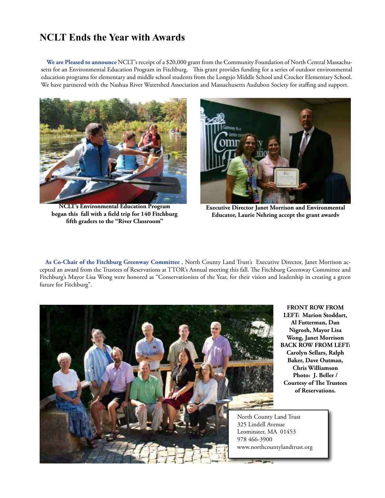### **NCLT Ends the Year with Awards**

**We are Pleased to announce** NCLT's receipt of a \$20,000 grant from the Community Foundation of North Central Massachusetts for an Environmental Education Program in Fitchburg. This grant provides funding for a series of outdoor environmental education programs for elementary and middle school students from the Longsjo Middle School and Crocker Elementary School. We have partnered with the Nashua River Watershed Association and Massachusetts Audubon Society for staffing and support.



**NCLT's Environmental Education Program began this fall with a field trip for 140 Fitchburg fifth graders to the "River Classroom"** 



**Executive Director Janet Morrison and Environmental Educator, Laurie Nehring accept the grant awardv**

**As Co-Chair of the Fitchburg Greenway Committee** , North County Land Trust's Executive Director, Janet Morrison accepted an award from the Trustees of Reservations at TTOR's Annual meeting this fall. The Fitchburg Greenway Committee and Fitchburg's Mayor Lisa Wong were honored as "Conservationists of the Year, for their vision and leadership in creating a green future for Fitchburg".



**FRONT ROW FROM LEFT: Marion Stoddart, Al Futterman, Dan Nigrosh, Mayor Lisa Wong, Janet Morrison BACK ROW FROM LEFT: Carolyn Sellars, Ralph Baker, Dave Outman, Chris Williamson Photo: J. Beller / Courtesy of The Trustees of Reservations.**

North County Land Trust 325 Lindell Avenue Leominster, MA 01453 978 466-3900 www.northcountylandtrust.org